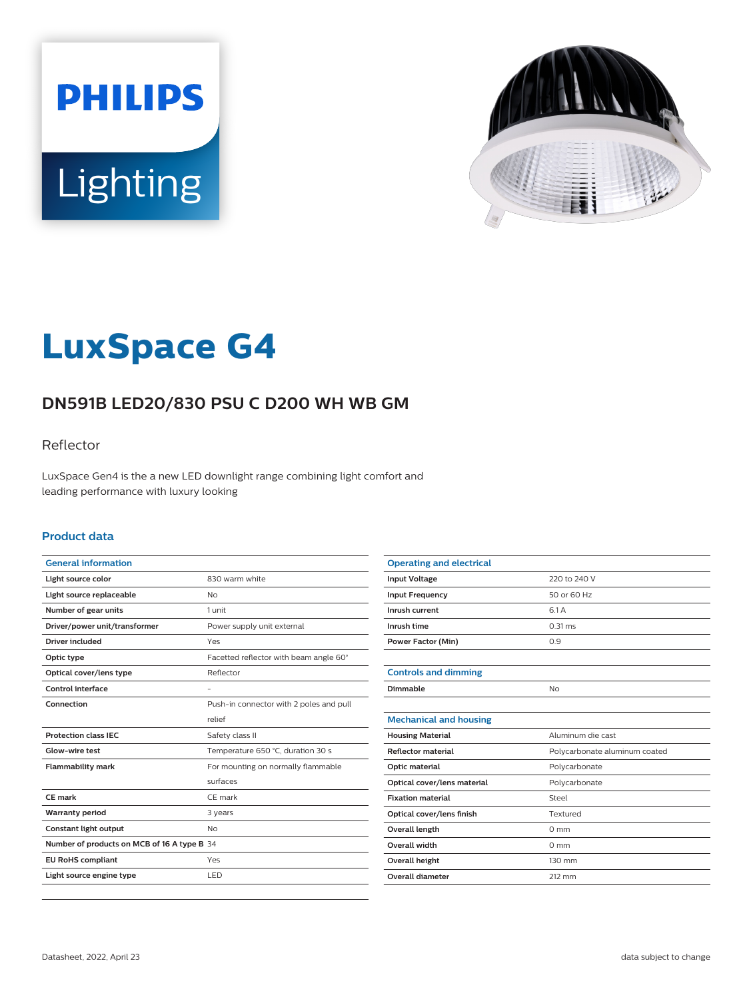



# **LuxSpace G4**

# **DN591B LED20/830 PSU C D200 WH WB GM**

### Reflector

LuxSpace Gen4 is the a new LED downlight range combining light comfort and leading performance with luxury looking

#### **Product data**

| <b>General information</b>                  |                                         |
|---------------------------------------------|-----------------------------------------|
| Light source color                          | 830 warm white                          |
| Light source replaceable                    | <b>No</b>                               |
| Number of gear units                        | 1 unit                                  |
| Driver/power unit/transformer               | Power supply unit external              |
| <b>Driver included</b>                      | Yes                                     |
| Optic type                                  | Facetted reflector with beam angle 60°  |
| Optical cover/lens type                     | Reflector                               |
| Control interface                           |                                         |
| Connection                                  | Push-in connector with 2 poles and pull |
|                                             | relief                                  |
| <b>Protection class IEC</b>                 | Safety class II                         |
| Glow-wire test                              | Temperature 650 °C, duration 30 s       |
| <b>Flammability mark</b>                    | For mounting on normally flammable      |
|                                             | surfaces                                |
| CF mark                                     | CE mark                                 |
| <b>Warranty period</b>                      | 3 years                                 |
| Constant light output                       | <b>No</b>                               |
| Number of products on MCB of 16 A type B 34 |                                         |
| <b>EU RoHS compliant</b>                    | Yes                                     |
| Light source engine type                    | LED                                     |
|                                             |                                         |

| <b>Operating and electrical</b> |                               |
|---------------------------------|-------------------------------|
| <b>Input Voltage</b>            | 220 to 240 V                  |
| <b>Input Frequency</b>          | 50 or 60 Hz                   |
| Inrush current                  | 6.1 A                         |
| Inrush time                     | $0.31$ ms                     |
| <b>Power Factor (Min)</b>       | 0.9                           |
|                                 |                               |
| <b>Controls and dimming</b>     |                               |
| Dimmable                        | No                            |
|                                 |                               |
| <b>Mechanical and housing</b>   |                               |
| <b>Housing Material</b>         | Aluminum die cast             |
| <b>Reflector material</b>       | Polycarbonate aluminum coated |
| Optic material                  | Polycarbonate                 |
| Optical cover/lens material     | Polycarbonate                 |
| <b>Fixation material</b>        | Steel                         |
| Optical cover/lens finish       | Textured                      |
| <b>Overall length</b>           | $0 \text{ mm}$                |
| <b>Overall width</b>            | $0 \text{ mm}$                |
| Overall height                  | 130 mm                        |
| Overall diameter                | 212 mm                        |
|                                 |                               |